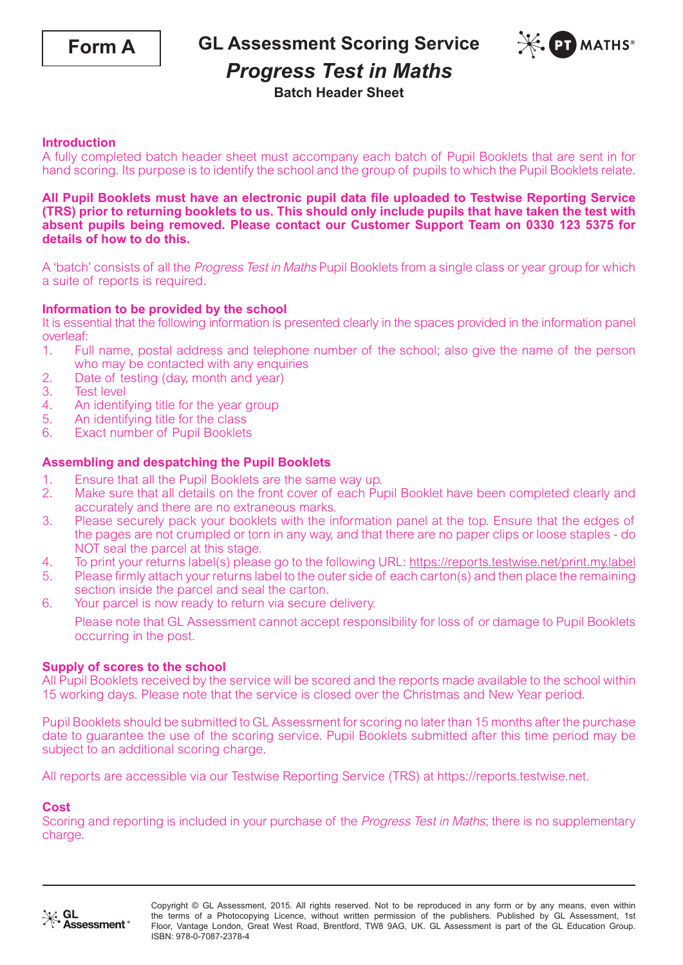

**GL Assessment Scoring Service**



## *Progress Test in Maths*

### **Batch Header Sheet**

#### **Introduction**

A fully completed batch header sheet must accompany each batch of Pupil Booklets that are sent in for hand scoring. Its purpose is to identify the school and the group of pupils to which the Pupil Booklets relate.

#### **All Pupil Booklets must have an electronic pupil data file uploaded to Testwise Reporting Service (TRS) prior to returning booklets to us. This should only include pupils that have taken the test with absent pupils being removed. Please contact our Customer Support Team on 0330 123 5375 for details of how to do this.**

A 'batch' consists of all the Progress Test in Maths Pupil Booklets from a single class or year group for which a suite of reports is required.

#### **Information to be provided by the school**

It is essential that the following information is presented clearly in the spaces provided in the information panel overleaf:

- 1. Full name, postal address and telephone number of the school; also give the name of the person who may be contacted with any enquiries
- 2. Date of testing (day, month and year)<br>3. Test level
- **Test level**
- 4. An identifying title for the year group<br>5. An identifying title for the class
- An identifying title for the class
- 6. Exact number of Pupil Booklets

#### **Assembling and despatching the Pupil Booklets**

- 
- 1. Ensure that all the Pupil Booklets are the same way up.<br>2. Make sure that all details on the front cover of each Pu 2. Make sure that all details on the front cover of each Pupil Booklet have been completed clearly and accurately and there are no extraneous marks.
- 3. Please securely pack your booklets with the information panel at the top. Ensure that the edges of the pages are not crumpled or torn in any way, and that there are no paper clips or loose staples - do NOT seal the parcel at this stage.
- 4. To print your returns label(s) please go to the following URL: https://reports.testwise.net/print.my.label<br>5. Please firmly attach your returns label to the outer side of each carton(s) and then place the remaining
- 5. Please firmly attach your returns label to the outer side of each carton(s) and then place the remaining section inside the parcel and seal the carton.
- 6. Your parcel is now ready to return via secure delivery.

Please note that GL Assessment cannot accept responsibility for loss of or damage to Pupil Booklets occurring in the post.

#### **Supply of scores to the school**

All Pupil Booklets received by the service will be scored and the reports made available to the school within 15 working days. Please note that the service is closed over the Christmas and New Year period.

Pupil Booklets should be submitted to GL Assessment for scoring no later than 15 months after the purchase date to guarantee the use of the scoring service. Pupil Booklets submitted after this time period may be subject to an additional scoring charge.

All reports are accessible via our Testwise Reporting Service (TRS) at https://reports.testwise.net.

#### **Cost**

Scoring and reporting is included in your purchase of the *Progress Test in Maths*; there is no supplementary charge.